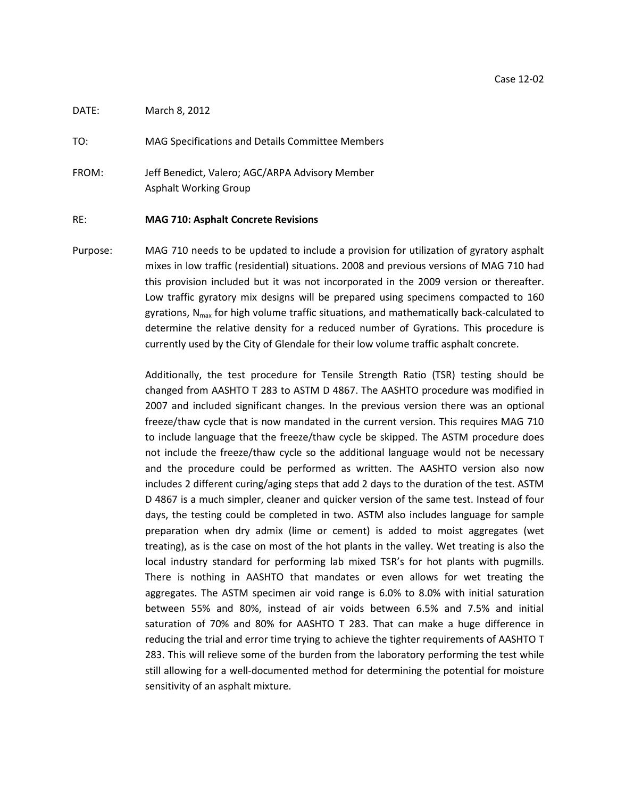TO: MAG Specifications and Details Committee Members

FROM: Jeff Benedict, Valero; AGC/ARPA Advisory Member Asphalt Working Group

## RE: **MAG 710: Asphalt Concrete Revisions**

Purpose: MAG 710 needs to be updated to include a provision for utilization of gyratory asphalt mixes in low traffic (residential) situations. 2008 and previous versions of MAG 710 had this provision included but it was not incorporated in the 2009 version or thereafter. Low traffic gyratory mix designs will be prepared using specimens compacted to 160 gyrations,  $N_{\text{max}}$  for high volume traffic situations, and mathematically back-calculated to determine the relative density for a reduced number of Gyrations. This procedure is currently used by the City of Glendale for their low volume traffic asphalt concrete.

> Additionally, the test procedure for Tensile Strength Ratio (TSR) testing should be changed from AASHTO T 283 to ASTM D 4867. The AASHTO procedure was modified in 2007 and included significant changes. In the previous version there was an optional freeze/thaw cycle that is now mandated in the current version. This requires MAG 710 to include language that the freeze/thaw cycle be skipped. The ASTM procedure does not include the freeze/thaw cycle so the additional language would not be necessary and the procedure could be performed as written. The AASHTO version also now includes 2 different curing/aging steps that add 2 days to the duration of the test. ASTM D 4867 is a much simpler, cleaner and quicker version of the same test. Instead of four days, the testing could be completed in two. ASTM also includes language for sample preparation when dry admix (lime or cement) is added to moist aggregates (wet treating), as is the case on most of the hot plants in the valley. Wet treating is also the local industry standard for performing lab mixed TSR's for hot plants with pugmills. There is nothing in AASHTO that mandates or even allows for wet treating the aggregates. The ASTM specimen air void range is 6.0% to 8.0% with initial saturation between 55% and 80%, instead of air voids between 6.5% and 7.5% and initial saturation of 70% and 80% for AASHTO T 283. That can make a huge difference in reducing the trial and error time trying to achieve the tighter requirements of AASHTO T 283. This will relieve some of the burden from the laboratory performing the test while still allowing for a well-documented method for determining the potential for moisture sensitivity of an asphalt mixture.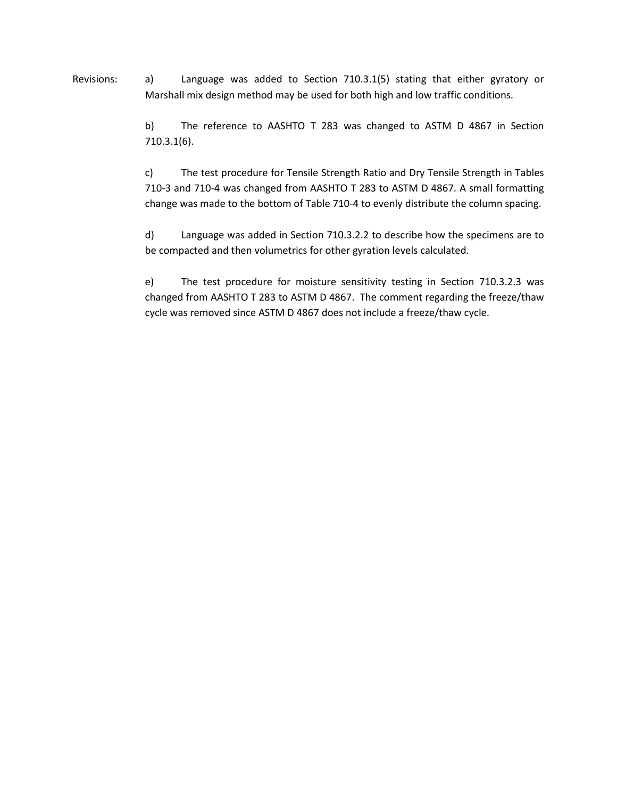Revisions: a) Language was added to Section 710.3.1(5) stating that either gyratory or Marshall mix design method may be used for both high and low traffic conditions.

> b) The reference to AASHTO T 283 was changed to ASTM D 4867 in Section 710.3.1(6).

> c) The test procedure for Tensile Strength Ratio and Dry Tensile Strength in Tables 710-3 and 710-4 was changed from AASHTO T 283 to ASTM D 4867. A small formatting change was made to the bottom of Table 710-4 to evenly distribute the column spacing.

> d) Language was added in Section 710.3.2.2 to describe how the specimens are to be compacted and then volumetrics for other gyration levels calculated.

> e) The test procedure for moisture sensitivity testing in Section 710.3.2.3 was changed from AASHTO T 283 to ASTM D 4867. The comment regarding the freeze/thaw cycle was removed since ASTM D 4867 does not include a freeze/thaw cycle.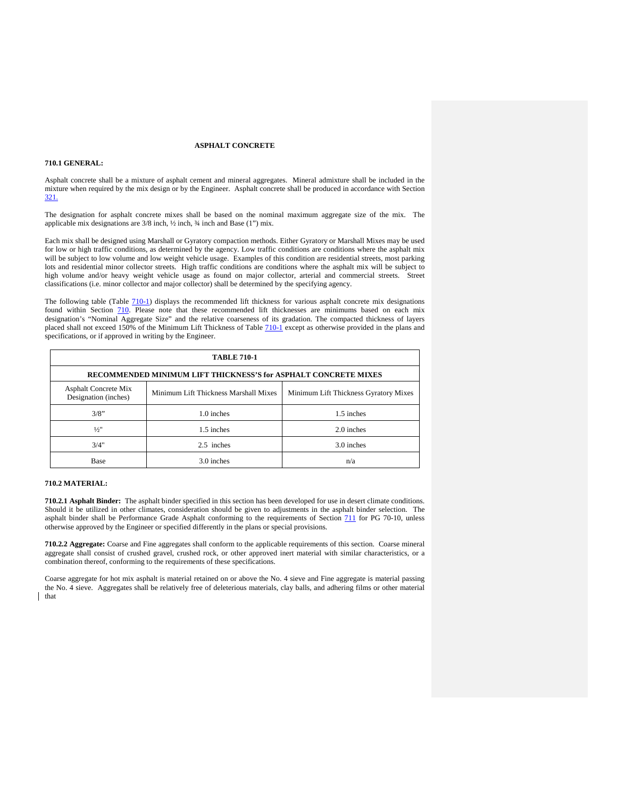#### **ASPHALT CONCRETE**

#### **710.1 GENERAL:**

Asphalt concrete shall be a mixture of asphalt cement and mineral aggregates. Mineral admixture shall be included in the mixture when required by the mix design or by the Engineer. Asphalt concrete shall be produced in accordance with Section 321.

The designation for asphalt concrete mixes shall be based on the nominal maximum aggregate size of the mix. The applicable mix designations are  $3/8$  inch,  $\frac{1}{2}$  inch,  $\frac{3}{4}$  inch and Base (1") mix.

Each mix shall be designed using Marshall or Gyratory compaction methods. Either Gyratory or Marshall Mixes may be used for low or high traffic conditions, as determined by the agency. Low traffic conditions are conditions where the asphalt mix will be subject to low volume and low weight vehicle usage. Examples of this condition are residential streets, most parking lots and residential minor collector streets. High traffic conditions are conditions where the asphalt mix will be subject to high volume and/or heavy weight vehicle usage as found on major collector, arterial and commercial streets. Street classifications (i.e. minor collector and major collector) shall be determined by the specifying agency.

The following table (Table [710-1\)](#page-2-0) displays the recommended lift thickness for various asphalt concrete mix designations found within Section 710. Please note that these recommended lift thicknesses are minimums based on each mix designation's "Nominal Aggregate Size" and the relative coarseness of its gradation. The compacted thickness of layers placed shall not exceed 150% of the Minimum Lift Thickness of Table [710-1](#page-2-0) except as otherwise provided in the plans and specifications, or if approved in writing by the Engineer.

<span id="page-2-0"></span>

| <b>TABLE 710-1</b>                                              |                                                                                |            |  |  |  |  |  |  |
|-----------------------------------------------------------------|--------------------------------------------------------------------------------|------------|--|--|--|--|--|--|
| RECOMMENDED MINIMUM LIFT THICKNESS'S for ASPHALT CONCRETE MIXES |                                                                                |            |  |  |  |  |  |  |
| <b>Asphalt Concrete Mix</b><br>Designation (inches)             | Minimum Lift Thickness Marshall Mixes<br>Minimum Lift Thickness Gyratory Mixes |            |  |  |  |  |  |  |
| 3/8"<br>1.0 inches                                              |                                                                                | 1.5 inches |  |  |  |  |  |  |
| $\frac{1}{2}$ "                                                 | 1.5 inches                                                                     | 2.0 inches |  |  |  |  |  |  |
| 3/4"                                                            | 2.5 inches                                                                     | 3.0 inches |  |  |  |  |  |  |
| Base                                                            | 3.0 inches                                                                     | n/a        |  |  |  |  |  |  |

#### **710.2 MATERIAL:**

**710.2.1 Asphalt Binder:** The asphalt binder specified in this section has been developed for use in desert climate conditions. Should it be utilized in other climates, consideration should be given to adjustments in the asphalt binder selection. The asphalt binder shall be Performance Grade Asphalt conforming to the requirements of Section 711 for PG 70-10, unless otherwise approved by the Engineer or specified differently in the plans or special provisions.

**710.2.2 Aggregate:** Coarse and Fine aggregates shall conform to the applicable requirements of this section. Coarse mineral aggregate shall consist of crushed gravel, crushed rock, or other approved inert material with similar characteristics, or a combination thereof, conforming to the requirements of these specifications.

Coarse aggregate for hot mix asphalt is material retained on or above the No. 4 sieve and Fine aggregate is material passing the No. 4 sieve. Aggregates shall be relatively free of deleterious materials, clay balls, and adhering films or other material that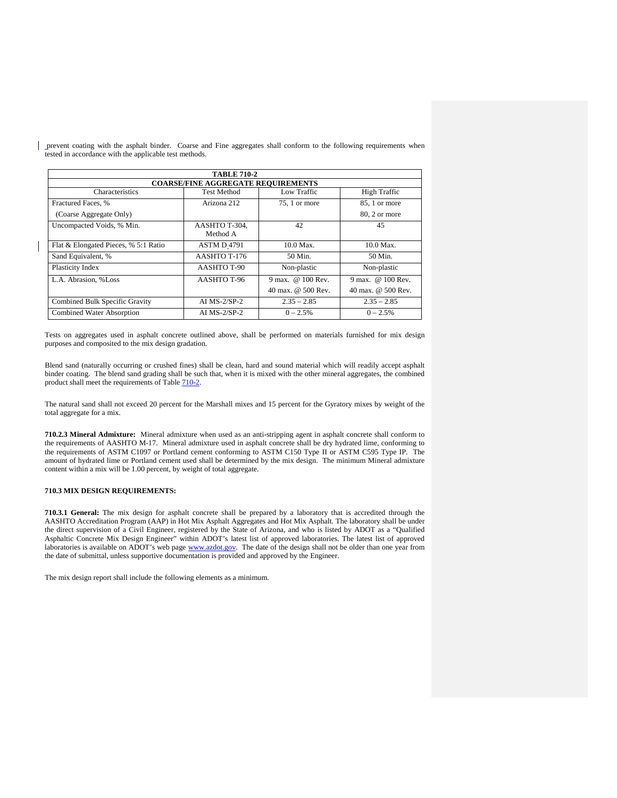prevent coating with the asphalt binder. Coarse and Fine aggregates shall conform to the following requirements when tested in accordance with the applicable test methods.

<span id="page-3-0"></span>

| <b>TABLE 710-2</b>                        |                    |                    |                    |  |  |  |  |  |  |
|-------------------------------------------|--------------------|--------------------|--------------------|--|--|--|--|--|--|
| <b>COARSE/FINE AGGREGATE REQUIREMENTS</b> |                    |                    |                    |  |  |  |  |  |  |
| Characteristics                           | <b>Test Method</b> | Low Traffic        | High Traffic       |  |  |  |  |  |  |
| Fractured Faces, %                        | Arizona 212        | $75$ , 1 or more   | 85, 1 or more      |  |  |  |  |  |  |
| (Coarse Aggregate Only)                   |                    |                    | 80, 2 or more      |  |  |  |  |  |  |
| Uncompacted Voids, % Min.                 | AASHTO T-304,      | 42                 | 45                 |  |  |  |  |  |  |
|                                           | Method A           |                    |                    |  |  |  |  |  |  |
| Flat & Elongated Pieces, % 5:1 Ratio      | <b>ASTM D 4791</b> | $10.0$ Max.        | $10.0$ Max.        |  |  |  |  |  |  |
| Sand Equivalent, %                        | AASHTO T-176       | 50 Min.            | 50 Min.            |  |  |  |  |  |  |
| Plasticity Index                          | AASHTO T-90        | Non-plastic        | Non-plastic        |  |  |  |  |  |  |
| L.A. Abrasion, %Loss                      | AASHTO T-96        | 9 max. @ 100 Rev.  | 9 max. @ 100 Rev.  |  |  |  |  |  |  |
|                                           |                    | 40 max. @ 500 Rev. | 40 max. @ 500 Rev. |  |  |  |  |  |  |
| Combined Bulk Specific Gravity            | AI $MS-2/SP-2$     | $2.35 - 2.85$      | $2.35 - 2.85$      |  |  |  |  |  |  |
| Combined Water Absorption                 | AI $MS-2/SP-2$     | $0 - 2.5%$         | $0 - 2.5%$         |  |  |  |  |  |  |

Tests on aggregates used in asphalt concrete outlined above, shall be performed on materials furnished for mix design purposes and composited to the mix design gradation.

Blend sand (naturally occurring or crushed fines) shall be clean, hard and sound material which will readily accept asphalt binder coating. The blend sand grading shall be such that, when it is mixed with the other mineral aggregates, the combined product shall meet the requirements of Table  $710-2$ .

The natural sand shall not exceed 20 percent for the Marshall mixes and 15 percent for the Gyratory mixes by weight of the total aggregate for a mix.

**710.2.3 Mineral Admixture:** Mineral admixture when used as an anti-stripping agent in asphalt concrete shall conform to the requirements of AASHTO M-17. Mineral admixture used in asphalt concrete shall be dry hydrated lime, conforming to the requirements of ASTM C1097 or Portland cement conforming to ASTM C150 Type II or ASTM C595 Type IP. The amount of hydrated lime or Portland cement used shall be determined by the mix design. The minimum Mineral admixture content within a mix will be 1.00 percent, by weight of total aggregate.

### **710.3 MIX DESIGN REQUIREMENTS:**

**710.3.1 General:** The mix design for asphalt concrete shall be prepared by a laboratory that is accredited through the AASHTO Accreditation Program (AAP) in Hot Mix Asphalt Aggregates and Hot Mix Asphalt. The laboratory shall be under the direct supervision of a Civil Engineer, registered by the State of Arizona, and who is listed by ADOT as a "Qualified Asphaltic Concrete Mix Design Engineer" within ADOT's latest list of approved laboratories. The latest list of approved laboratories is available on ADOT's web page [www.azdot.gov.](http://www.azdot.gov/) The date of the design shall not be older than one year from the date of submittal, unless supportive documentation is provided and approved by the Engineer.

The mix design report shall include the following elements as a minimum.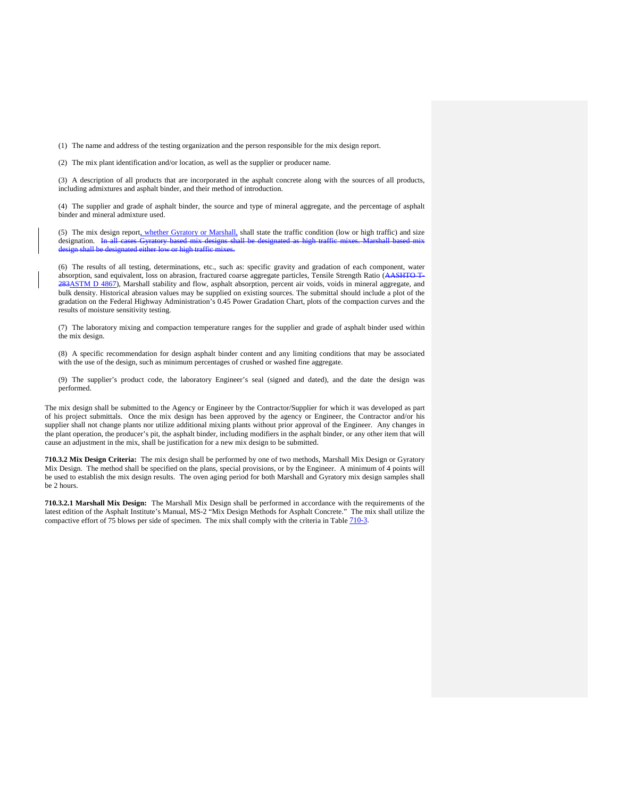(1) The name and address of the testing organization and the person responsible for the mix design report.

(2) The mix plant identification and/or location, as well as the supplier or producer name.

(3) A description of all products that are incorporated in the asphalt concrete along with the sources of all products, including admixtures and asphalt binder, and their method of introduction.

(4) The supplier and grade of asphalt binder, the source and type of mineral aggregate, and the percentage of asphalt binder and mineral admixture used.

(5) The mix design report, whether Gyratory or Marshall, shall state the traffic condition (low or high traffic) and size designation. In all cases Gyratory based mix designs shall be designated as high traffic mixes. Marshall based mix design shall be designated either low or high traffic mixes.

(6) The results of all testing, determinations, etc., such as: specific gravity and gradation of each component, water absorption, sand equivalent, loss on abrasion, fractured coarse aggregate particles, Tensile Strength Ratio (AASHTO T-283ASTM D 4867), Marshall stability and flow, asphalt absorption, percent air voids, voids in mineral aggregate, and bulk density. Historical abrasion values may be supplied on existing sources. The submittal should include a plot of the gradation on the Federal Highway Administration's 0.45 Power Gradation Chart, plots of the compaction curves and the results of moisture sensitivity testing.

(7) The laboratory mixing and compaction temperature ranges for the supplier and grade of asphalt binder used within the mix design.

(8) A specific recommendation for design asphalt binder content and any limiting conditions that may be associated with the use of the design, such as minimum percentages of crushed or washed fine aggregate.

(9) The supplier's product code, the laboratory Engineer's seal (signed and dated), and the date the design was performed.

The mix design shall be submitted to the Agency or Engineer by the Contractor/Supplier for which it was developed as part of his project submittals. Once the mix design has been approved by the agency or Engineer, the Contractor and/or his supplier shall not change plants nor utilize additional mixing plants without prior approval of the Engineer. Any changes in the plant operation, the producer's pit, the asphalt binder, including modifiers in the asphalt binder, or any other item that will cause an adjustment in the mix, shall be justification for a new mix design to be submitted.

**710.3.2 Mix Design Criteria:** The mix design shall be performed by one of two methods, Marshall Mix Design or Gyratory Mix Design. The method shall be specified on the plans, special provisions, or by the Engineer. A minimum of 4 points will be used to establish the mix design results. The oven aging period for both Marshall and Gyratory mix design samples shall be 2 hours.

**710.3.2.1 Marshall Mix Design:** The Marshall Mix Design shall be performed in accordance with the requirements of the latest edition of the Asphalt Institute's Manual, MS-2 "Mix Design Methods for Asphalt Concrete." The mix shall utilize the compactive effort of 75 blows per side of specimen. The mix shall comply with the criteria in Tabl[e 710-3.](#page-5-0)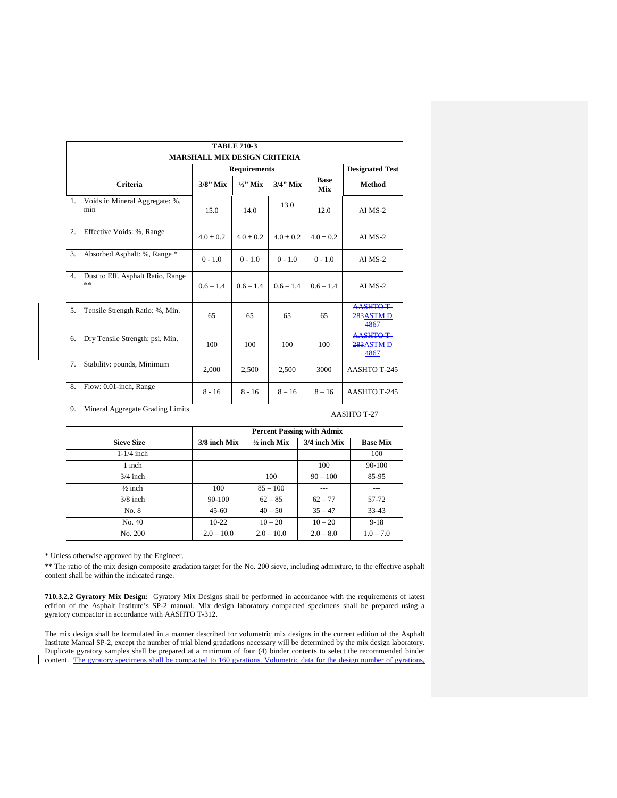<span id="page-5-0"></span>

|    | <b>TABLE 710-3</b>                      |                                     |  |                        |                |                                   |                              |                                      |
|----|-----------------------------------------|-------------------------------------|--|------------------------|----------------|-----------------------------------|------------------------------|--------------------------------------|
|    |                                         | <b>MARSHALL MIX DESIGN CRITERIA</b> |  |                        |                |                                   |                              |                                      |
|    |                                         | <b>Requirements</b>                 |  |                        |                |                                   |                              | <b>Designated Test</b>               |
|    | Criteria                                | $3/8$ " Mix                         |  | $1/2$ <sup>'</sup> Mix | $3/4$ " Mix    | <b>Base</b><br>Mix                |                              | <b>Method</b>                        |
| 1. | Voids in Mineral Aggregate: %,<br>min   | 15.0                                |  | 14.0                   | 13.0           | 12.0                              |                              | AI MS-2                              |
| 2. | Effective Voids: %, Range               | $4.0 \pm 0.2$                       |  | $4.0 \pm 0.2$          | $4.0 \pm 0.2$  | $4.0 \pm 0.2$                     |                              | $AI$ $MS-2$                          |
| 3. | Absorbed Asphalt: %, Range *            | $0 - 1.0$                           |  | $0 - 1.0$              | $0 - 1.0$      | $0 - 1.0$                         |                              | $AI$ $MS-2$                          |
| 4. | Dust to Eff. Asphalt Ratio, Range<br>** | $0.6 - 1.4$                         |  | $0.6 - 1.4$            | $0.6 - 1.4$    | $0.6 - 1.4$                       |                              | AI MS-2                              |
| 5. | Tensile Strength Ratio: %, Min.         | 65                                  |  | 65                     | 65             | 65                                |                              | <b>AASHTO T-</b><br>283ASTMD<br>4867 |
| 6. | Dry Tensile Strength: psi, Min.         | 100                                 |  | 100<br>100             |                | 100                               | AASHTO T<br>283ASTMD<br>4867 |                                      |
| 7. | Stability: pounds, Minimum              | 2,000                               |  | 2,500                  | 2,500          | 3000                              |                              | AASHTO T-245                         |
| 8. | Flow: 0.01-inch, Range                  | $8 - 16$                            |  | $8 - 16$               | $8 - 16$       | $8 - 16$                          |                              | AASHTO T-245                         |
| 9. | Mineral Aggregate Grading Limits        |                                     |  |                        |                |                                   |                              | <b>AASHTO T-27</b>                   |
|    |                                         |                                     |  |                        |                | <b>Percent Passing with Admix</b> |                              |                                      |
|    | <b>Sieve Size</b>                       | 3/8 inch Mix                        |  |                        | $1/2$ inch Mix | 3/4 inch Mix                      |                              | <b>Base Mix</b>                      |
|    | $1-1/4$ inch                            |                                     |  |                        |                |                                   |                              | 100                                  |
|    | 1 inch                                  |                                     |  |                        |                | 100                               |                              | 90-100                               |
|    | $3/4$ inch                              |                                     |  | $90 - 100$<br>100      |                |                                   | 85-95                        |                                      |
|    | $\frac{1}{2}$ inch                      | 100                                 |  |                        | $85 - 100$     |                                   |                              |                                      |
|    | $3/8$ inch                              | $90-100$                            |  |                        | $62 - 85$      | $62 - 77$                         |                              | 57-72                                |
|    | No. 8                                   | $45 - 60$                           |  | $40 - 50$<br>$35 - 47$ |                |                                   |                              | 33-43                                |
|    | No. 40                                  | 10-22                               |  |                        | $10 - 20$      | $10 - 20$                         |                              | $9 - 18$                             |
|    | No. 200                                 | $2.0 - 10.0$                        |  |                        | $2.0 - 10.0$   | $2.0 - 8.0$                       |                              | $1.0 - 7.0$                          |

\* Unless otherwise approved by the Engineer.

\*\* The ratio of the mix design composite gradation target for the No. 200 sieve, including admixture, to the effective asphalt content shall be within the indicated range.

**710.3.2.2 Gyratory Mix Design:** Gyratory Mix Designs shall be performed in accordance with the requirements of latest edition of the Asphalt Institute's SP-2 manual. Mix design laboratory compacted specimens shall be prepared using a gyratory compactor in accordance with AASHTO T-312.

The mix design shall be formulated in a manner described for volumetric mix designs in the current edition of the Asphalt Institute Manual SP-2, except the number of trial blend gradations necessary will be determined by the mix design laboratory. Duplicate gyratory samples shall be prepared at a minimum of four (4) binder contents to select the recommended binder content. The gyratory specimens shall be compacted to 160 gyrations. Volumetric data for the design number of gyrations,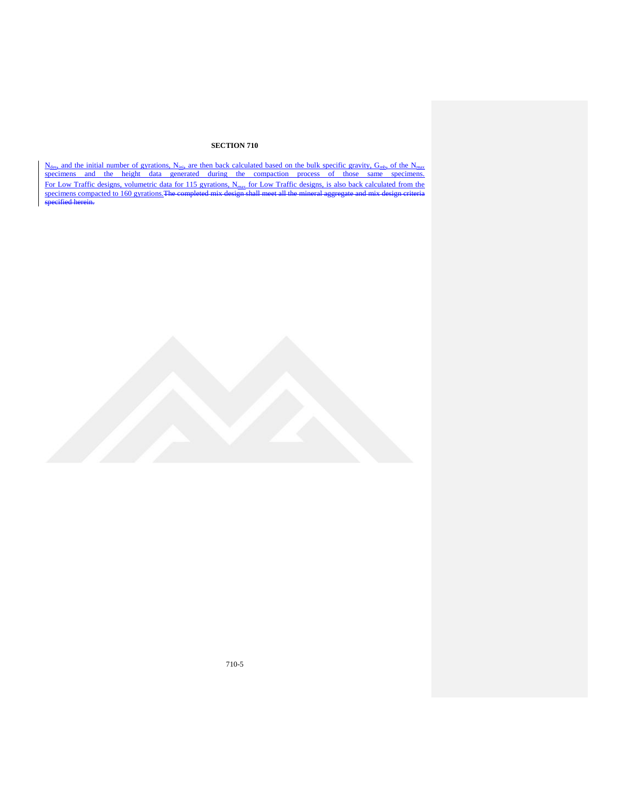## **SECTION 710**

 $N_{\text{des}}$  and the initial number of gyrations,  $N_{\text{ini}}$ , are then back calculated based on the bulk specific gravity,  $G_{\text{mb}}$ , of the  $N_{\text{max}}$ specimens and the height data generated during the compaction process of those same specimens. For Low Traffic designs, volumetric data for 115 gyrations, N<sub>max</sub> for Low Traffic designs, is also back calculated from the specimens compacted to 160 gyrations. The completed mix design shall meet all the mineral aggregate and mix design criteria specified herein.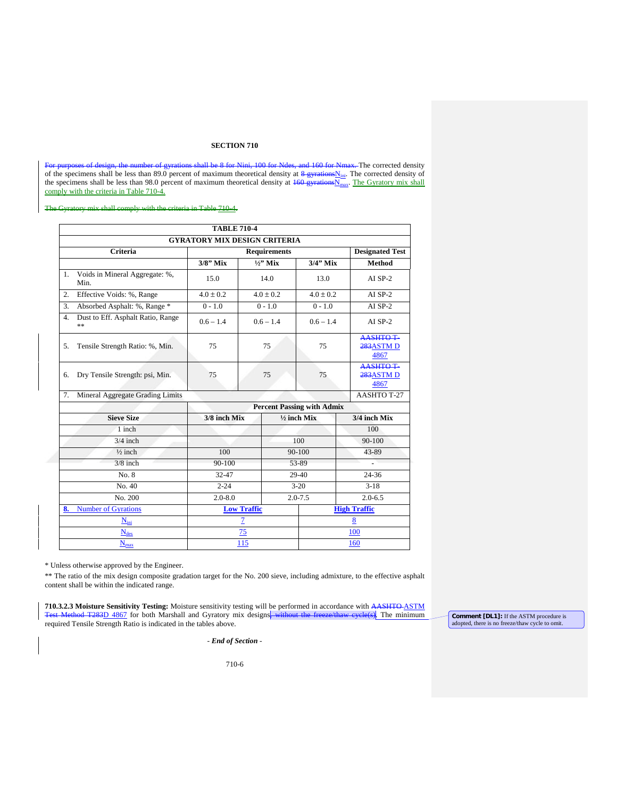### **SECTION 710**

For purposes of design, the number of gyrations shall be 8 for Nini, 100 for Ndes, and 160 for Nmax. The corrected density of the specimens shall be less than 89.0 percent of maximum theoretical density at  $\frac{8 \text{ gyrations}N_{\text{ini}}}{8}$ . The corrected density of the specimens shall be less than 98.0 percent of maximum theoretical density at  $\frac{160 \text{ gyrations}}{160 \text{ gyrations}}$ . The Gyratory mix shall comply with the criteria in Table [710-4.](#page-7-0)

eriteria in Table [710-4.](#page-7-0)

<span id="page-7-0"></span>

|                                     | <b>TABLE 710-4</b>                      |               |                        |                                   |                              |  |  |  |  |
|-------------------------------------|-----------------------------------------|---------------|------------------------|-----------------------------------|------------------------------|--|--|--|--|
| <b>GYRATORY MIX DESIGN CRITERIA</b> |                                         |               |                        |                                   |                              |  |  |  |  |
|                                     | Criteria                                |               | <b>Designated Test</b> |                                   |                              |  |  |  |  |
|                                     |                                         | $3/8$ " Mix   | $\frac{1}{2}$ " Mix    | $3/4$ " Mix                       | <b>Method</b>                |  |  |  |  |
| 1.                                  | Voids in Mineral Aggregate: %,<br>Min.  | 15.0          | 14.0                   | 13.0                              | $AI$ SP-2                    |  |  |  |  |
| 2.                                  | Effective Voids: %, Range               | $4.0 \pm 0.2$ | $4.0 \pm 0.2$          | $4.0 \pm 0.2$                     | AI $SP-2$                    |  |  |  |  |
| 3.                                  | Absorbed Asphalt: %, Range *            | $0 - 1.0$     | $0 - 1.0$              | $0 - 1.0$                         | $AI$ SP-2                    |  |  |  |  |
| 4.                                  | Dust to Eff. Asphalt Ratio, Range<br>** | $0.6 - 1.4$   | $0.6 - 1.4$            | $0.6 - 1.4$                       | $AI$ SP-2                    |  |  |  |  |
| 5.                                  | Tensile Strength Ratio: %, Min.         | 75            | 75                     | 75                                | AASHTOT<br>283ASTMD<br>4867  |  |  |  |  |
| 6.                                  | Dry Tensile Strength: psi, Min.         | 75            | 75                     | 75                                | AASHTO T<br>283ASTMD<br>4867 |  |  |  |  |
| 7.                                  | Mineral Aggregate Grading Limits        |               |                        |                                   | AASHTO T-27                  |  |  |  |  |
|                                     |                                         |               |                        | <b>Percent Passing with Admix</b> |                              |  |  |  |  |
|                                     | <b>Sieve Size</b>                       | 3/8 inch Mix  |                        | $1/2$ inch Mix                    | $3/4$ inch Mix               |  |  |  |  |
|                                     | 1 inch                                  |               |                        |                                   | 100                          |  |  |  |  |
|                                     | $3/4$ inch                              |               |                        | 100                               | 90-100                       |  |  |  |  |
|                                     | $\frac{1}{2}$ inch                      | 100           |                        | 90-100                            | 43-89                        |  |  |  |  |
|                                     | $3/8$ inch                              | 90-100        |                        | 53-89                             |                              |  |  |  |  |
|                                     | No. 8                                   | 32-47         |                        | 29-40                             | 24-36                        |  |  |  |  |
|                                     | No. 40                                  | $2 - 24$      |                        | $3 - 20$                          | $3-18$                       |  |  |  |  |
|                                     | No. 200                                 | $2.0 - 8.0$   |                        | $2.0 - 7.5$                       | $2.0 - 6.5$                  |  |  |  |  |
| 8.                                  | <b>Number of Gyrations</b>              |               | <b>Low Traffic</b>     |                                   | <b>High Traffic</b>          |  |  |  |  |
|                                     | $N_{\rm ini}$                           |               | 7                      |                                   | 8                            |  |  |  |  |
|                                     | $N_{\text{des}}$                        |               | 75                     |                                   | 100                          |  |  |  |  |
|                                     | 115<br>$N_{max}$<br>160                 |               |                        |                                   |                              |  |  |  |  |

\* Unless otherwise approved by the Engineer.

\*\* The ratio of the mix design composite gradation target for the No. 200 sieve, including admixture, to the effective asphalt content shall be within the indicated range.

**710.3.2.3 Moisture Sensitivity Testing:** Moisture sensitivity testing will be performed in accordance with AASHTO ASTM Test Method T283D 4867 for both Marshall and Gyratory mix designs, without the freeze/thaw cycle(s). The minimum required Tensile Strength Ratio is indicated in the tables above.

**Comment [DL1]:** If the ASTM procedure is adopted, there is no freeze/thaw cycle to omit.

- *End of Section* -

710-6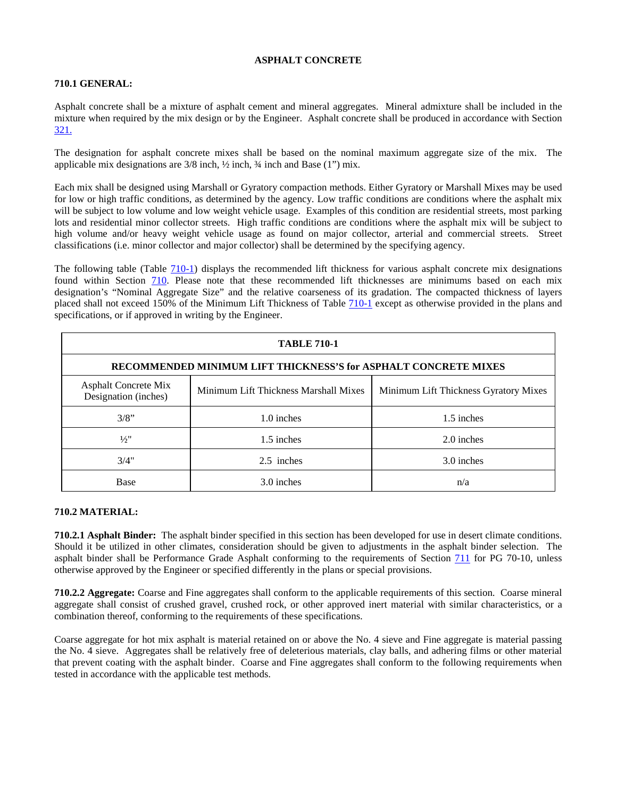## **ASPHALT CONCRETE**

# **710.1 GENERAL:**

Asphalt concrete shall be a mixture of asphalt cement and mineral aggregates. Mineral admixture shall be included in the mixture when required by the mix design or by the Engineer. Asphalt concrete shall be produced in accordance with Section 321.

The designation for asphalt concrete mixes shall be based on the nominal maximum aggregate size of the mix. The applicable mix designations are  $3/8$  inch,  $\frac{1}{2}$  inch,  $\frac{3}{4}$  inch and Base (1") mix.

Each mix shall be designed using Marshall or Gyratory compaction methods. Either Gyratory or Marshall Mixes may be used for low or high traffic conditions, as determined by the agency. Low traffic conditions are conditions where the asphalt mix will be subject to low volume and low weight vehicle usage. Examples of this condition are residential streets, most parking lots and residential minor collector streets. High traffic conditions are conditions where the asphalt mix will be subject to high volume and/or heavy weight vehicle usage as found on major collector, arterial and commercial streets. Street classifications (i.e. minor collector and major collector) shall be determined by the specifying agency.

The following table (Table [710-1\)](#page-8-0) displays the recommended lift thickness for various asphalt concrete mix designations found within Section 710. Please note that these recommended lift thicknesses are minimums based on each mix designation's "Nominal Aggregate Size" and the relative coarseness of its gradation. The compacted thickness of layers placed shall not exceed 150% of the Minimum Lift Thickness of Table [710-1](#page-8-0) except as otherwise provided in the plans and specifications, or if approved in writing by the Engineer.

<span id="page-8-0"></span>

| <b>TABLE 710-1</b>                                              |                                                                                |            |  |  |  |  |  |  |
|-----------------------------------------------------------------|--------------------------------------------------------------------------------|------------|--|--|--|--|--|--|
| RECOMMENDED MINIMUM LIFT THICKNESS'S for ASPHALT CONCRETE MIXES |                                                                                |            |  |  |  |  |  |  |
| <b>Asphalt Concrete Mix</b><br>Designation (inches)             | Minimum Lift Thickness Marshall Mixes<br>Minimum Lift Thickness Gyratory Mixes |            |  |  |  |  |  |  |
| 3/8"                                                            | 1.0 inches                                                                     | 1.5 inches |  |  |  |  |  |  |
| $\frac{1}{2}$ "                                                 | 1.5 inches                                                                     | 2.0 inches |  |  |  |  |  |  |
| 3/4"                                                            | 2.5 inches                                                                     | 3.0 inches |  |  |  |  |  |  |
| <b>Base</b>                                                     | 3.0 inches                                                                     | n/a        |  |  |  |  |  |  |

# **710.2 MATERIAL:**

**710.2.1 Asphalt Binder:** The asphalt binder specified in this section has been developed for use in desert climate conditions. Should it be utilized in other climates, consideration should be given to adjustments in the asphalt binder selection. The asphalt binder shall be Performance Grade Asphalt conforming to the requirements of Section 711 for PG 70-10, unless otherwise approved by the Engineer or specified differently in the plans or special provisions.

**710.2.2 Aggregate:** Coarse and Fine aggregates shall conform to the applicable requirements of this section. Coarse mineral aggregate shall consist of crushed gravel, crushed rock, or other approved inert material with similar characteristics, or a combination thereof, conforming to the requirements of these specifications.

Coarse aggregate for hot mix asphalt is material retained on or above the No. 4 sieve and Fine aggregate is material passing the No. 4 sieve. Aggregates shall be relatively free of deleterious materials, clay balls, and adhering films or other material that prevent coating with the asphalt binder. Coarse and Fine aggregates shall conform to the following requirements when tested in accordance with the applicable test methods.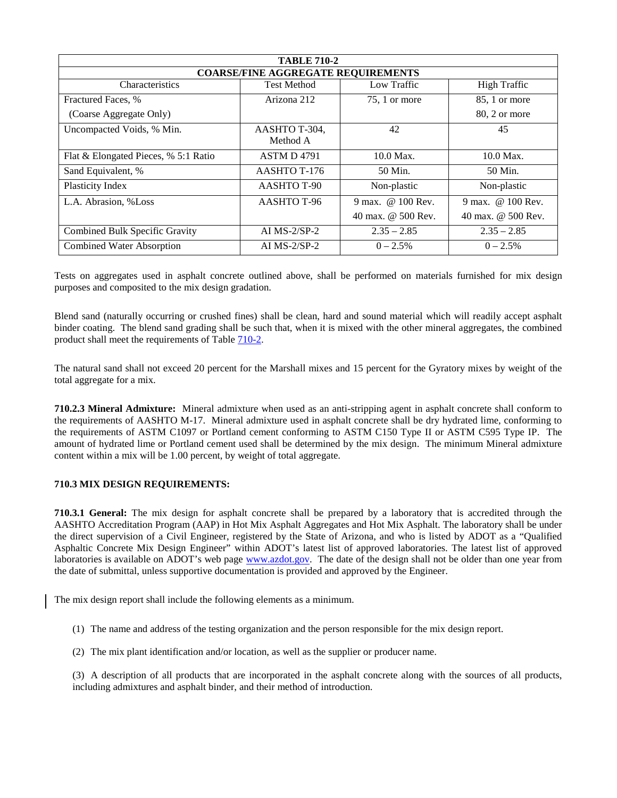<span id="page-9-0"></span>

| <b>TABLE 710-2</b>                        |                           |                    |                     |  |  |  |  |  |
|-------------------------------------------|---------------------------|--------------------|---------------------|--|--|--|--|--|
| <b>COARSE/FINE AGGREGATE REQUIREMENTS</b> |                           |                    |                     |  |  |  |  |  |
| Characteristics                           | <b>Test Method</b>        | Low Traffic        | <b>High Traffic</b> |  |  |  |  |  |
| Fractured Faces, %                        | Arizona 212               | $75$ , 1 or more   | 85, 1 or more       |  |  |  |  |  |
| (Coarse Aggregate Only)                   |                           |                    | 80, 2 or more       |  |  |  |  |  |
| Uncompacted Voids, % Min.                 | AASHTO T-304,<br>Method A | 42                 | 45                  |  |  |  |  |  |
| Flat & Elongated Pieces, % 5:1 Ratio      | <b>ASTM D 4791</b>        | $10.0$ Max.        | 10.0 Max.           |  |  |  |  |  |
| Sand Equivalent, %                        | AASHTO T-176              | 50 Min.            | 50 Min.             |  |  |  |  |  |
| Plasticity Index                          | AASHTO T-90               | Non-plastic        | Non-plastic         |  |  |  |  |  |
| L.A. Abrasion, %Loss                      | AASHTO T-96               | 9 max. @ 100 Rev.  | 9 max. @ 100 Rev.   |  |  |  |  |  |
|                                           |                           | 40 max. @ 500 Rev. | 40 max. @ 500 Rev.  |  |  |  |  |  |
| Combined Bulk Specific Gravity            | AI $MS-2/SP-2$            | $2.35 - 2.85$      | $2.35 - 2.85$       |  |  |  |  |  |
| <b>Combined Water Absorption</b>          | AI $MS-2/SP-2$            | $0 - 2.5\%$        | $0 - 2.5\%$         |  |  |  |  |  |

Tests on aggregates used in asphalt concrete outlined above, shall be performed on materials furnished for mix design purposes and composited to the mix design gradation.

Blend sand (naturally occurring or crushed fines) shall be clean, hard and sound material which will readily accept asphalt binder coating. The blend sand grading shall be such that, when it is mixed with the other mineral aggregates, the combined product shall meet the requirements of Table [710-2.](#page-9-0)

The natural sand shall not exceed 20 percent for the Marshall mixes and 15 percent for the Gyratory mixes by weight of the total aggregate for a mix.

**710.2.3 Mineral Admixture:** Mineral admixture when used as an anti-stripping agent in asphalt concrete shall conform to the requirements of AASHTO M-17. Mineral admixture used in asphalt concrete shall be dry hydrated lime, conforming to the requirements of ASTM C1097 or Portland cement conforming to ASTM C150 Type II or ASTM C595 Type IP. The amount of hydrated lime or Portland cement used shall be determined by the mix design. The minimum Mineral admixture content within a mix will be 1.00 percent, by weight of total aggregate.

# **710.3 MIX DESIGN REQUIREMENTS:**

**710.3.1 General:** The mix design for asphalt concrete shall be prepared by a laboratory that is accredited through the AASHTO Accreditation Program (AAP) in Hot Mix Asphalt Aggregates and Hot Mix Asphalt. The laboratory shall be under the direct supervision of a Civil Engineer, registered by the State of Arizona, and who is listed by ADOT as a "Qualified Asphaltic Concrete Mix Design Engineer" within ADOT's latest list of approved laboratories. The latest list of approved laboratories is available on ADOT's web page [www.azdot.gov.](http://www.azdot.gov/) The date of the design shall not be older than one year from the date of submittal, unless supportive documentation is provided and approved by the Engineer.

The mix design report shall include the following elements as a minimum.

- (1) The name and address of the testing organization and the person responsible for the mix design report.
- (2) The mix plant identification and/or location, as well as the supplier or producer name.

(3) A description of all products that are incorporated in the asphalt concrete along with the sources of all products, including admixtures and asphalt binder, and their method of introduction.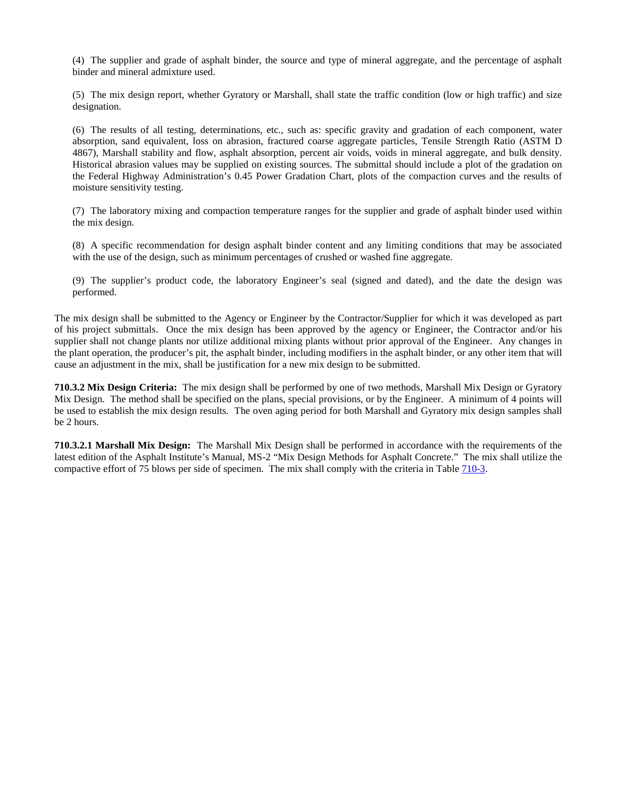(4) The supplier and grade of asphalt binder, the source and type of mineral aggregate, and the percentage of asphalt binder and mineral admixture used.

(5) The mix design report, whether Gyratory or Marshall, shall state the traffic condition (low or high traffic) and size designation.

(6) The results of all testing, determinations, etc., such as: specific gravity and gradation of each component, water absorption, sand equivalent, loss on abrasion, fractured coarse aggregate particles, Tensile Strength Ratio (ASTM D 4867), Marshall stability and flow, asphalt absorption, percent air voids, voids in mineral aggregate, and bulk density. Historical abrasion values may be supplied on existing sources. The submittal should include a plot of the gradation on the Federal Highway Administration's 0.45 Power Gradation Chart, plots of the compaction curves and the results of moisture sensitivity testing.

(7) The laboratory mixing and compaction temperature ranges for the supplier and grade of asphalt binder used within the mix design.

(8) A specific recommendation for design asphalt binder content and any limiting conditions that may be associated with the use of the design, such as minimum percentages of crushed or washed fine aggregate.

(9) The supplier's product code, the laboratory Engineer's seal (signed and dated), and the date the design was performed.

The mix design shall be submitted to the Agency or Engineer by the Contractor/Supplier for which it was developed as part of his project submittals. Once the mix design has been approved by the agency or Engineer, the Contractor and/or his supplier shall not change plants nor utilize additional mixing plants without prior approval of the Engineer. Any changes in the plant operation, the producer's pit, the asphalt binder, including modifiers in the asphalt binder, or any other item that will cause an adjustment in the mix, shall be justification for a new mix design to be submitted.

**710.3.2 Mix Design Criteria:** The mix design shall be performed by one of two methods, Marshall Mix Design or Gyratory Mix Design. The method shall be specified on the plans, special provisions, or by the Engineer. A minimum of 4 points will be used to establish the mix design results. The oven aging period for both Marshall and Gyratory mix design samples shall be 2 hours.

**710.3.2.1 Marshall Mix Design:** The Marshall Mix Design shall be performed in accordance with the requirements of the latest edition of the Asphalt Institute's Manual, MS-2 "Mix Design Methods for Asphalt Concrete." The mix shall utilize the compactive effort of 75 blows per side of specimen. The mix shall comply with the criteria in Table [710-3.](#page-11-0)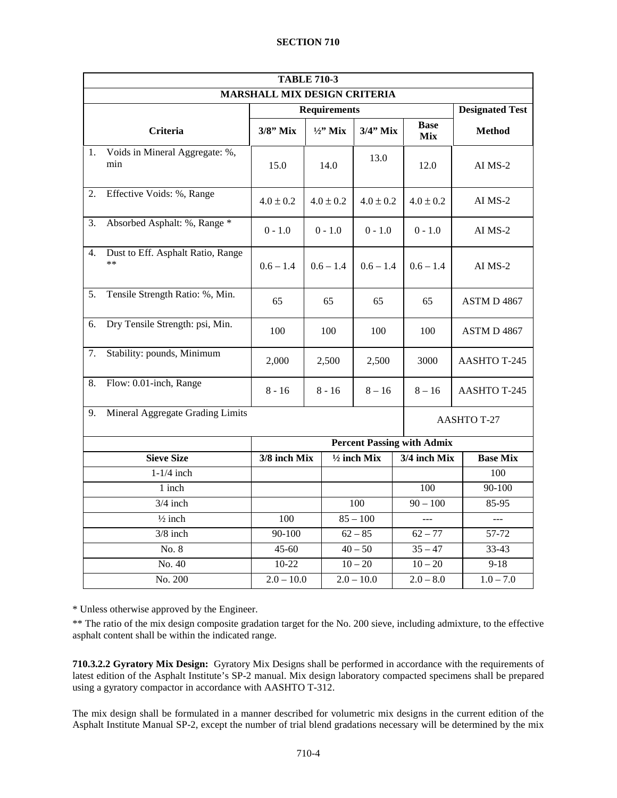<span id="page-11-0"></span>

|                              | <b>TABLE 710-3</b>                            |               |                                                        |                        |               |           |                                   |                     |                     |  |
|------------------------------|-----------------------------------------------|---------------|--------------------------------------------------------|------------------------|---------------|-----------|-----------------------------------|---------------------|---------------------|--|
| MARSHALL MIX DESIGN CRITERIA |                                               |               |                                                        |                        |               |           |                                   |                     |                     |  |
|                              | <b>Requirements</b><br><b>Designated Test</b> |               |                                                        |                        |               |           |                                   |                     |                     |  |
|                              | <b>Criteria</b>                               | $3/8$ " Mix   |                                                        | $1/2$ <sup>*</sup> Mix | $3/4$ " Mix   |           | <b>Base</b><br>Mix                |                     | <b>Method</b>       |  |
| 1.                           | Voids in Mineral Aggregate: %,<br>min         | 15.0          |                                                        | 14.0                   | 13.0          |           | 12.0                              |                     | AI MS-2             |  |
| 2.                           | Effective Voids: %, Range                     | $4.0 \pm 0.2$ |                                                        | $4.0 \pm 0.2$          | $4.0 \pm 0.2$ |           | $4.0 \pm 0.2$                     |                     | $AI$ MS-2           |  |
| 3.                           | Absorbed Asphalt: %, Range *                  | $0 - 1.0$     |                                                        | $0 - 1.0$              | $0 - 1.0$     |           | $0 - 1.0$                         |                     | AI MS-2             |  |
| 4.                           | Dust to Eff. Asphalt Ratio, Range<br>$**$     | $0.6 - 1.4$   |                                                        | $0.6 - 1.4$            | $0.6 - 1.4$   |           | $0.6 - 1.4$                       |                     | $AI$ MS-2           |  |
| 5.                           | Tensile Strength Ratio: %, Min.               | 65            |                                                        | 65                     | 65<br>65      |           | ASTM D4867                        |                     |                     |  |
| 6.                           | Dry Tensile Strength: psi, Min.               | 100           |                                                        | 100                    | 100           |           | 100                               |                     | ASTM D4867          |  |
| 7.                           | Stability: pounds, Minimum                    | 2,000         |                                                        | 2,500                  | 2,500         |           | 3000                              |                     | <b>AASHTO T-245</b> |  |
| 8.                           | Flow: 0.01-inch, Range                        | $8 - 16$      |                                                        | $8 - 16$               | $8 - 16$      |           | $8 - 16$                          | <b>AASHTO T-245</b> |                     |  |
| 9.                           | Mineral Aggregate Grading Limits              |               |                                                        |                        |               |           |                                   |                     | <b>AASHTO T-27</b>  |  |
|                              |                                               |               |                                                        |                        |               |           | <b>Percent Passing with Admix</b> |                     |                     |  |
|                              | <b>Sieve Size</b>                             |               | 3/8 inch Mix<br>3/4 inch Mix<br>$\frac{1}{2}$ inch Mix |                        |               |           |                                   | <b>Base Mix</b>     |                     |  |
|                              | $1-1/4$ inch                                  |               |                                                        |                        |               | 100       |                                   |                     |                     |  |
|                              | 1 inch                                        |               | 100                                                    |                        |               |           | 90-100                            |                     |                     |  |
|                              | $3/4$ inch                                    | 100           |                                                        | $90 - 100$<br>85-95    |               |           |                                   |                     |                     |  |
|                              | $\frac{1}{2}$ inch                            | 100           | $85 - 100$                                             |                        |               |           | $---$                             |                     |                     |  |
|                              | $3/8$ inch                                    | 90-100        |                                                        |                        | $62 - 85$     | $62 - 77$ |                                   | 57-72               |                     |  |
|                              | No. 8                                         | $45 - 60$     |                                                        |                        | $40 - 50$     | $35 - 47$ |                                   |                     | 33-43               |  |
|                              | No. 40                                        | $10 - 22$     |                                                        |                        | $10 - 20$     |           | $10 - 20$                         |                     | $9 - 18$            |  |
|                              | No. 200                                       | $2.0 - 10.0$  |                                                        |                        | $2.0 - 10.0$  |           | $2.0 - 8.0$                       |                     | $1.0 - 7.0$         |  |

\* Unless otherwise approved by the Engineer.

\*\* The ratio of the mix design composite gradation target for the No. 200 sieve, including admixture, to the effective asphalt content shall be within the indicated range.

**710.3.2.2 Gyratory Mix Design:** Gyratory Mix Designs shall be performed in accordance with the requirements of latest edition of the Asphalt Institute's SP-2 manual. Mix design laboratory compacted specimens shall be prepared using a gyratory compactor in accordance with AASHTO T-312.

The mix design shall be formulated in a manner described for volumetric mix designs in the current edition of the Asphalt Institute Manual SP-2, except the number of trial blend gradations necessary will be determined by the mix